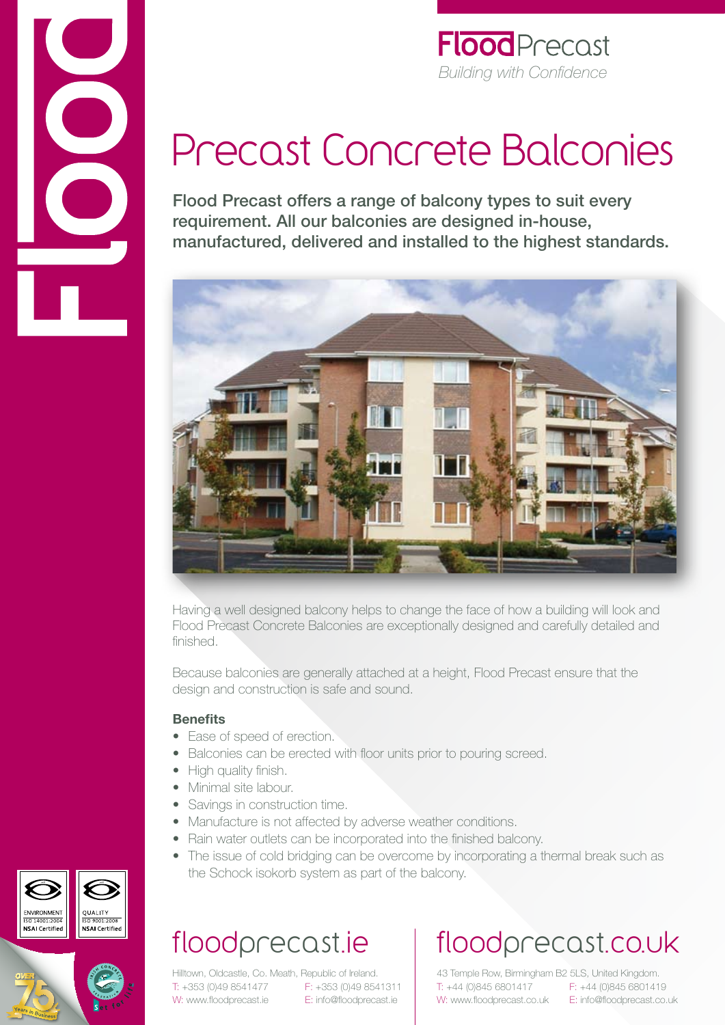

#### **Flood** Precast *Building with Confidence*

# Precast Concrete Balconies

Flood Precast offers a range of balcony types to suit every requirement. All our balconies are designed in-house, manufactured, delivered and installed to the highest standards.



Having a well designed balcony helps to change the face of how a building will look and Flood Precast Concrete Balconies are exceptionally designed and carefully detailed and finished.

Because balconies are generally attached at a height, Flood Precast ensure that the design and construction is safe and sound.

#### **Benefits**

- Ease of speed of erection.
- Balconies can be erected with floor units prior to pouring screed.
- High quality finish.
- Minimal site labour.
- Savings in construction time.
- Manufacture is not affected by adverse weather conditions.
- Rain water outlets can be incorporated into the finished balcony.
- The issue of cold bridging can be overcome by incorporating a thermal break such as the Schock isokorb system as part of the balcony.

## floodprecast.ie

Hilltown, Oldcastle, Co. Meath, Republic of Ireland. T: +353 (0)49 8541477 F: +353 (0)49 8541311 W: www.floodprecast.ie E: info@floodprecast.ie

## floodprecast.co.uk

43 Temple Row, Birmingham B2 5LS, United Kingdom. T: +44 (0)845 6801417 F: +44 (0)845 6801419 W: www.floodprecast.co.uk E: info@floodprecast.co.uk